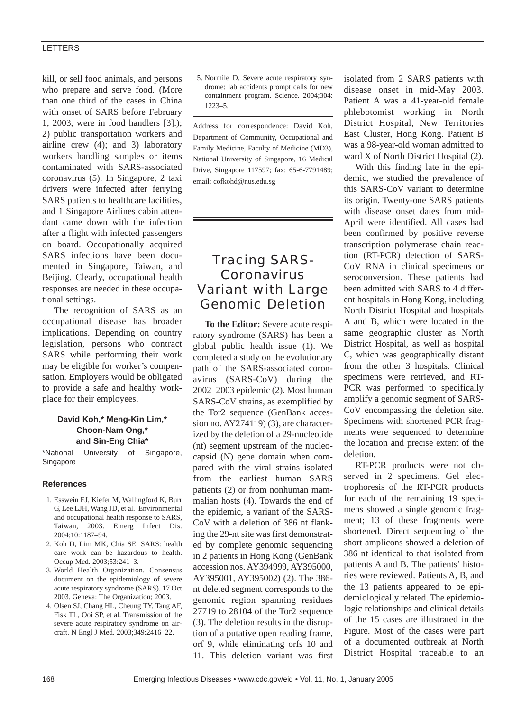#### LETTERS

kill, or sell food animals, and persons who prepare and serve food. (More than one third of the cases in China with onset of SARS before February 1, 2003, were in food handlers [3].); 2) public transportation workers and airline crew (4); and 3) laboratory workers handling samples or items contaminated with SARS-associated coronavirus (5). In Singapore, 2 taxi drivers were infected after ferrying SARS patients to healthcare facilities, and 1 Singapore Airlines cabin attendant came down with the infection after a flight with infected passengers on board. Occupationally acquired SARS infections have been documented in Singapore, Taiwan, and Beijing. Clearly, occupational health responses are needed in these occupational settings.

The recognition of SARS as an occupational disease has broader implications. Depending on country legislation, persons who contract SARS while performing their work may be eligible for worker's compensation. Employers would be obligated to provide a safe and healthy workplace for their employees.

### **David Koh,\* Meng-Kin Lim,\* Choon-Nam Ong,\* and Sin-Eng Chia\***

\*National University of Singapore, Singapore

#### **References**

- 1. Esswein EJ, Kiefer M, Wallingford K, Burr G, Lee LJH, Wang JD, et al. Environmental and occupational health response to SARS, Taiwan, 2003. Emerg Infect Dis. 2004;10:1187–94.
- 2. Koh D, Lim MK, Chia SE. SARS: health care work can be hazardous to health. Occup Med. 2003;53:241–3.
- 3. World Health Organization. Consensus document on the epidemiology of severe acute respiratory syndrome (SARS). 17 Oct 2003. Geneva: The Organization; 2003.
- 4. Olsen SJ, Chang HL, Cheung TY, Tang AF, Fisk TL, Ooi SP, et al. Transmission of the severe acute respiratory syndrome on aircraft. N Engl J Med. 2003;349:2416–22.

5. Normile D. Severe acute respiratory syndrome: lab accidents prompt calls for new containment program. Science. 2004;304: 1223–5.

Address for correspondence: David Koh, Department of Community, Occupational and Family Medicine, Faculty of Medicine (MD3), National University of Singapore, 16 Medical Drive, Singapore 117597; fax: 65-6-7791489; email: cofkohd@nus.edu.sg

# Tracing SARS-Coronavirus Variant with Large Genomic Deletion

**To the Editor:** Severe acute respiratory syndrome (SARS) has been a global public health issue (1). We completed a study on the evolutionary path of the SARS-associated coronavirus (SARS-CoV) during the 2002–2003 epidemic (2). Most human SARS-CoV strains, as exemplified by the Tor2 sequence (GenBank accession no. AY274119) (3), are characterized by the deletion of a 29-nucleotide (nt) segment upstream of the nucleocapsid (N) gene domain when compared with the viral strains isolated from the earliest human SARS patients (2) or from nonhuman mammalian hosts (4). Towards the end of the epidemic, a variant of the SARS-CoV with a deletion of 386 nt flanking the 29-nt site was first demonstrated by complete genomic sequencing in 2 patients in Hong Kong (GenBank accession nos. AY394999, AY395000, AY395001, AY395002) (2). The 386 nt deleted segment corresponds to the genomic region spanning residues 27719 to 28104 of the Tor2 sequence (3). The deletion results in the disruption of a putative open reading frame, orf 9, while eliminating orfs 10 and 11. This deletion variant was first isolated from 2 SARS patients with disease onset in mid-May 2003. Patient A was a 41-year-old female phlebotomist working in North District Hospital, New Territories East Cluster, Hong Kong. Patient B was a 98-year-old woman admitted to ward X of North District Hospital (2).

With this finding late in the epidemic, we studied the prevalence of this SARS-CoV variant to determine its origin. Twenty-one SARS patients with disease onset dates from mid-April were identified. All cases had been confirmed by positive reverse transcription–polymerase chain reaction (RT-PCR) detection of SARS-CoV RNA in clinical specimens or seroconversion. These patients had been admitted with SARS to 4 different hospitals in Hong Kong, including North District Hospital and hospitals A and B, which were located in the same geographic cluster as North District Hospital, as well as hospital C, which was geographically distant from the other 3 hospitals. Clinical specimens were retrieved, and RT-PCR was performed to specifically amplify a genomic segment of SARS-CoV encompassing the deletion site. Specimens with shortened PCR fragments were sequenced to determine the location and precise extent of the deletion.

RT-PCR products were not observed in 2 specimens. Gel electrophoresis of the RT-PCR products for each of the remaining 19 specimens showed a single genomic fragment; 13 of these fragments were shortened. Direct sequencing of the short amplicons showed a deletion of 386 nt identical to that isolated from patients A and B. The patients' histories were reviewed. Patients A, B, and the 13 patients appeared to be epidemiologically related. The epidemiologic relationships and clinical details of the 15 cases are illustrated in the Figure. Most of the cases were part of a documented outbreak at North District Hospital traceable to an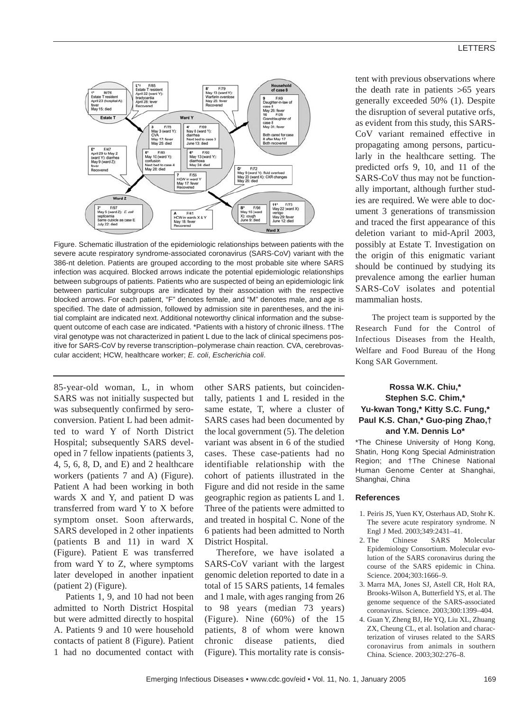

Figure. Schematic illustration of the epidemiologic relationships between patients with the severe acute respiratory syndrome-associated coronavirus (SARS-CoV) variant with the 386-nt deletion. Patients are grouped according to the most probable site where SARS infection was acquired. Blocked arrows indicate the potential epidemiologic relationships between subgroups of patients. Patients who are suspected of being an epidemiologic link between particular subgroups are indicated by their association with the respective blocked arrows. For each patient, "F" denotes female, and "M" denotes male, and age is specified. The date of admission, followed by admission site in parentheses, and the initial complaint are indicated next. Additional noteworthy clinical information and the subsequent outcome of each case are indicated. \*Patients with a history of chronic illness. †The viral genotype was not characterized in patient L due to the lack of clinical specimens positive for SARS-CoV by reverse transcription–polymerase chain reaction. CVA, cerebrovascular accident; HCW, healthcare worker; *E. coli*, *Escherichia coli*.

85-year-old woman, L, in whom SARS was not initially suspected but was subsequently confirmed by seroconversion. Patient L had been admitted to ward Y of North District Hospital; subsequently SARS developed in 7 fellow inpatients (patients 3, 4, 5, 6, 8, D, and E) and 2 healthcare workers (patients 7 and A) (Figure). Patient A had been working in both wards X and Y, and patient D was transferred from ward Y to X before symptom onset. Soon afterwards, SARS developed in 2 other inpatients (patients B and 11) in ward X (Figure). Patient E was transferred from ward Y to Z, where symptoms later developed in another inpatient (patient 2) (Figure).

Patients 1, 9, and 10 had not been admitted to North District Hospital but were admitted directly to hospital A. Patients 9 and 10 were household contacts of patient 8 (Figure). Patient 1 had no documented contact with other SARS patients, but coincidentally, patients 1 and L resided in the same estate, T, where a cluster of SARS cases had been documented by the local government (5). The deletion variant was absent in 6 of the studied cases. These case-patients had no identifiable relationship with the cohort of patients illustrated in the Figure and did not reside in the same geographic region as patients L and 1. Three of the patients were admitted to and treated in hospital C. None of the 6 patients had been admitted to North District Hospital.

Therefore, we have isolated a SARS-CoV variant with the largest genomic deletion reported to date in a total of 15 SARS patients, 14 females and 1 male, with ages ranging from 26 to 98 years (median 73 years) (Figure). Nine (60%) of the 15 patients, 8 of whom were known chronic disease patients, died (Figure). This mortality rate is consistent with previous observations where the death rate in patients >65 years generally exceeded 50% (1). Despite the disruption of several putative orfs, as evident from this study, this SARS-CoV variant remained effective in propagating among persons, particularly in the healthcare setting. The predicted orfs 9, 10, and 11 of the SARS-CoV thus may not be functionally important, although further studies are required. We were able to document 3 generations of transmission and traced the first appearance of this deletion variant to mid-April 2003, possibly at Estate T. Investigation on the origin of this enigmatic variant should be continued by studying its prevalence among the earlier human SARS-CoV isolates and potential mammalian hosts.

The project team is supported by the Research Fund for the Control of Infectious Diseases from the Health, Welfare and Food Bureau of the Hong Kong SAR Government.

## **Rossa W.K. Chiu,\* Stephen S.C. Chim,\* Yu-kwan Tong,\* Kitty S.C. Fung,\* Paul K.S. Chan,\* Guo-ping Zhao,† and Y.M. Dennis Lo\***

\*The Chinese University of Hong Kong, Shatin, Hong Kong Special Administration Region; and †The Chinese National Human Genome Center at Shanghai, Shanghai, China

#### **References**

- 1. Peiris JS, Yuen KY, Osterhaus AD, Stohr K. The severe acute respiratory syndrome. N Engl J Med. 2003;349:2431–41.
- 2. The Chinese SARS Molecular Epidemiology Consortium. Molecular evolution of the SARS coronavirus during the course of the SARS epidemic in China. Science. 2004;303:1666–9.
- 3. Marra MA, Jones SJ, Astell CR, Holt RA, Brooks-Wilson A, Butterfield YS, et al. The genome sequence of the SARS-associated coronavirus. Science. 2003;300:1399–404.
- 4. Guan Y, Zheng BJ, He YQ, Liu XL, Zhuang ZX, Cheung CL, et al. Isolation and characterization of viruses related to the SARS coronavirus from animals in southern China. Science. 2003;302:276–8.